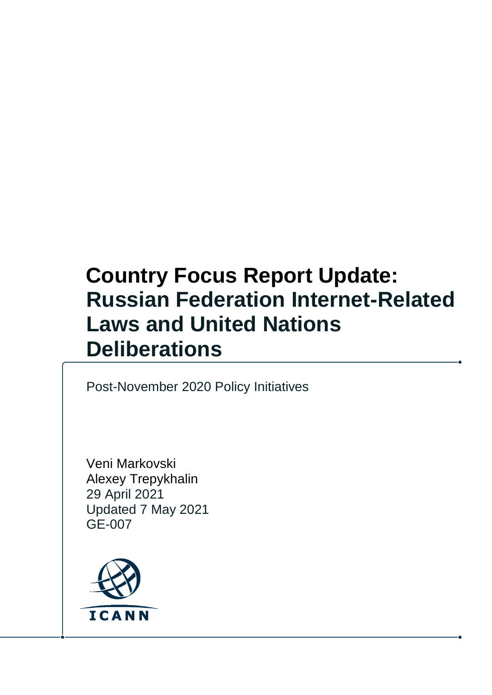# **Russian Federation Internet-Related Laws and United Nations Deliberations Country Focus Report Update:**

Post-November 2020 Policy Initiatives

Veni Markovski Alexey Trepykhalin 29 April 2021 Updated 7 May 2021 GE-007

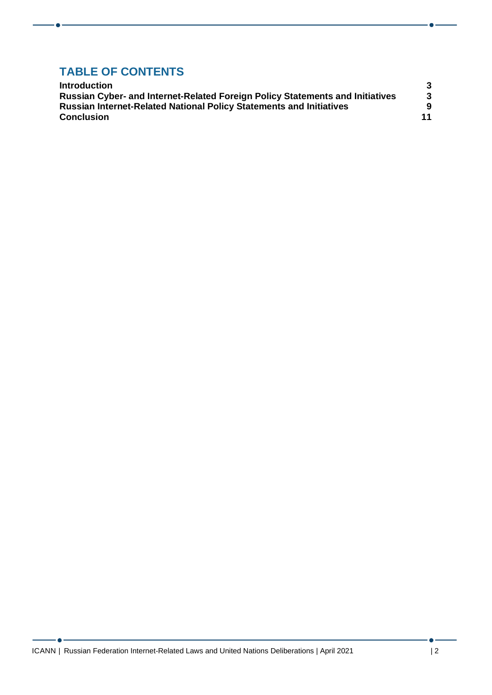## **TABLE OF CONTENTS**

| <b>Introduction</b>                                                                                                                                                                     |         |
|-----------------------------------------------------------------------------------------------------------------------------------------------------------------------------------------|---------|
| <b>Russian Cyber- and Internet-Related Foreign Policy Statements and Initiatives</b><br><b>Russian Internet-Related National Policy Statements and Initiatives</b><br><b>Conclusion</b> | 3       |
|                                                                                                                                                                                         | 9<br>11 |

<u> 1989 - Johann Barnett, fransk politiker (</u>

 $-$  o  $-$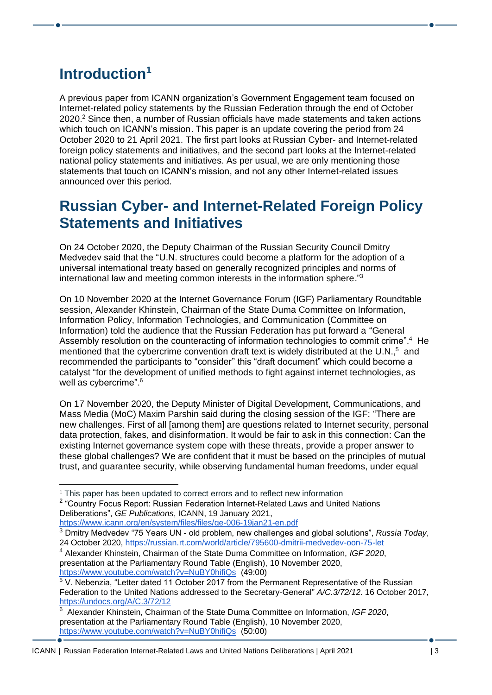## <span id="page-2-0"></span>**Introduction<sup>1</sup>**

A previous paper from ICANN organization's Government Engagement team focused on Internet-related policy statements by the Russian Federation through the end of October 2020. <sup>2</sup> Since then, a number of Russian officials have made statements and taken actions which touch on ICANN's mission. This paper is an update covering the period from 24 October 2020 to 21 April 2021. The first part looks at Russian Cyber- and Internet-related foreign policy statements and initiatives, and the second part looks at the Internet-related national policy statements and initiatives. As per usual, we are only mentioning those statements that touch on ICANN's mission, and not any other Internet-related issues announced over this period.

### <span id="page-2-1"></span>**Russian Cyber- and Internet-Related Foreign Policy Statements and Initiatives**

On 24 October 2020, the Deputy Chairman of the Russian Security Council Dmitry Medvedev said that the "U.N. structures could become a platform for the adoption of a universal international treaty based on generally recognized principles and norms of international law and meeting common interests in the information sphere."<sup>3</sup>

On 10 November 2020 at the Internet Governance Forum (IGF) Parliamentary Roundtable session, Alexander Khinstein, Chairman of the State Duma Committee on Information, Information Policy, Information Technologies, and Communication (Committee on Information) told the audience that the Russian Federation has put forward a "General Assembly resolution on the counteracting of information technologies to commit crime".<sup>4</sup> He mentioned that the cybercrime convention draft text is widely distributed at the U.N.,<sup>5</sup> and recommended the participants to "consider" this "draft document" which could become a catalyst "for the development of unified methods to fight against internet technologies, as well as cybercrime".<sup>6</sup>

On 17 November 2020, the Deputy Minister of Digital Development, Communications, and Mass Media (MoC) Maxim Parshin said during the closing session of the IGF: "There are new challenges. First of all [among them] are questions related to Internet security, personal data protection, fakes, and disinformation. It would be fair to ask in this connection: Can the existing Internet governance system cope with these threats, provide a proper answer to these global challenges? We are confident that it must be based on the principles of mutual trust, and guarantee security, while observing fundamental human freedoms, under equal

<https://www.icann.org/en/system/files/files/ge-006-19jan21-en.pdf>

 $1$  This paper has been updated to correct errors and to reflect new information

<sup>&</sup>lt;sup>2</sup> "Country Focus Report: Russian Federation Internet-Related Laws and United Nations Deliberations", *GE Publications*, ICANN, 19 January 2021,

<sup>3</sup> Dmitry Medvedev "75 Years UN - old problem, new challenges and global solutions", *Russia Today*, 24 October 2020,<https://russian.rt.com/world/article/795600-dmitrii-medvedev-oon-75-let>

<sup>4</sup> Alexander Khinstein, Chairman of the State Duma Committee on Information, *IGF 2020*, presentation at the Parliamentary Round Table (English), 10 November 2020, <https://www.youtube.com/watch?v=NuBY0hifiQs>(49:00)

<sup>&</sup>lt;sup>5</sup> V. Nebenzia, "Letter dated 11 October 2017 from the Permanent Representative of the Russian Federation to the United Nations addressed to the Secretary-General" *A/C.3/72/12*. 16 October 2017, <https://undocs.org/A/C.3/72/12>

<sup>6</sup> Alexander Khinstein, Chairman of the State Duma Committee on Information, *IGF 2020*, presentation at the Parliamentary Round Table (English), 10 November 2020, <https://www.youtube.com/watch?v=NuBY0hifiQs>(50:00)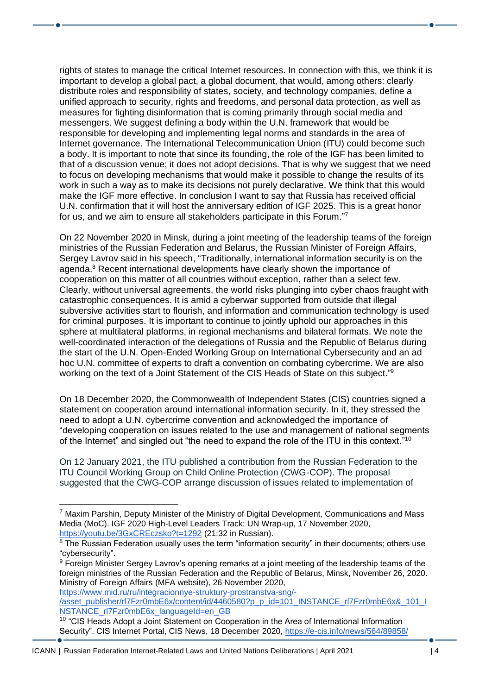rights of states to manage the critical Internet resources. In connection with this, we think it is important to develop a global pact, a global document, that would, among others: clearly distribute roles and responsibility of states, society, and technology companies, define a unified approach to security, rights and freedoms, and personal data protection, as well as measures for fighting disinformation that is coming primarily through social media and messengers. We suggest defining a body within the U.N. framework that would be responsible for developing and implementing legal norms and standards in the area of Internet governance. The International Telecommunication Union (ITU) could become such a body. It is important to note that since its founding, the role of the IGF has been limited to that of a discussion venue; it does not adopt decisions. That is why we suggest that we need to focus on developing mechanisms that would make it possible to change the results of its work in such a way as to make its decisions not purely declarative. We think that this would make the IGF more effective. In conclusion I want to say that Russia has received official U.N. confirmation that it will host the anniversary edition of IGF 2025. This is a great honor for us, and we aim to ensure all stakeholders participate in this Forum."7

On 22 November 2020 in Minsk, during a joint meeting of the leadership teams of the foreign ministries of the Russian Federation and Belarus, the Russian Minister of Foreign Affairs, Sergey Lavrov said in his speech, "Traditionally, international information security is on the agenda.<sup>8</sup> Recent international developments have clearly shown the importance of cooperation on this matter of all countries without exception, rather than a select few. Clearly, without universal agreements, the world risks plunging into cyber chaos fraught with catastrophic consequences. It is amid a cyberwar supported from outside that illegal subversive activities start to flourish, and information and communication technology is used for criminal purposes. It is important to continue to jointly uphold our approaches in this sphere at multilateral platforms, in regional mechanisms and bilateral formats. We note the well-coordinated interaction of the delegations of Russia and the Republic of Belarus during the start of the U.N. Open-Ended Working Group on International Cybersecurity and an ad hoc U.N. committee of experts to draft a convention on combating cybercrime. We are also working on the text of a Joint Statement of the CIS Heads of State on this subject."<sup>9</sup>

On 18 December 2020, the Commonwealth of Independent States (CIS) countries signed a statement on cooperation around international information security. In it, they stressed the need to adopt a U.N. cybercrime convention and acknowledged the importance of "developing cooperation on issues related to the use and management of national segments of the Internet" and singled out "the need to expand the role of the ITU in this context."<sup>10</sup>

On 12 January 2021, the ITU published a contribution from the Russian Federation to the ITU Council Working Group on Child Online Protection (CWG-COP). The proposal suggested that the CWG-COP arrange discussion of issues related to implementation of

[https://www.mid.ru/ru/integracionnye-struktury-prostranstva-sng/-](https://www.mid.ru/ru/integracionnye-struktury-prostranstva-sng/-/asset_publisher/rl7Fzr0mbE6x/content/id/4460580?p_p_id=101_INSTANCE_rl7Fzr0mbE6x&_101_INSTANCE_rl7Fzr0mbE6x_languageId=en_GB) [/asset\\_publisher/rl7Fzr0mbE6x/content/id/4460580?p\\_p\\_id=101\\_INSTANCE\\_rl7Fzr0mbE6x&\\_101\\_I](https://www.mid.ru/ru/integracionnye-struktury-prostranstva-sng/-/asset_publisher/rl7Fzr0mbE6x/content/id/4460580?p_p_id=101_INSTANCE_rl7Fzr0mbE6x&_101_INSTANCE_rl7Fzr0mbE6x_languageId=en_GB) [NSTANCE\\_rl7Fzr0mbE6x\\_languageId=en\\_GB](https://www.mid.ru/ru/integracionnye-struktury-prostranstva-sng/-/asset_publisher/rl7Fzr0mbE6x/content/id/4460580?p_p_id=101_INSTANCE_rl7Fzr0mbE6x&_101_INSTANCE_rl7Fzr0mbE6x_languageId=en_GB)

 $<sup>7</sup>$  Maxim Parshin, Deputy Minister of the Ministry of Digital Development, Communications and Mass</sup> Media (MoC). IGF 2020 High-Level Leaders Track: UN Wrap-up, 17 November 2020, <https://youtu.be/3GxCREczsko?t=1292> (21:32 in Russian).

<sup>&</sup>lt;sup>8</sup> The Russian Federation usually uses the term "information security" in their documents; others use "cybersecurity".

<sup>&</sup>lt;sup>9</sup> Foreign Minister Sergey Lavrov's opening remarks at a joint meeting of the leadership teams of the foreign ministries of the Russian Federation and the Republic of Belarus, Minsk, November 26, 2020. Ministry of Foreign Affairs (MFA website), 26 November 2020,

<sup>&</sup>lt;sup>10</sup> "CIS Heads Adopt a Joint Statement on Cooperation in the Area of International Information Security". CIS Internet Portal, CIS News, 18 December 2020,<https://e-cis.info/news/564/89858/>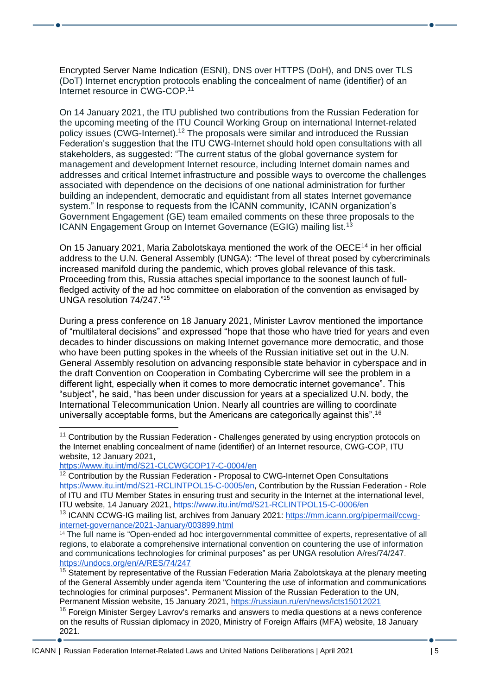Encrypted Server Name Indication (ESNI), DNS over HTTPS (DoH), and DNS over TLS (DoT) Internet encryption protocols enabling the concealment of name (identifier) of an Internet resource in CWG-COP.<sup>11</sup>

On 14 January 2021, the ITU published two contributions from the Russian Federation for the upcoming meeting of the ITU Council Working Group on international Internet-related policy issues (CWG-Internet).<sup>12</sup> The proposals were similar and introduced the Russian Federation's suggestion that the ITU CWG-Internet should hold open consultations with all stakeholders, as suggested: "The current status of the global governance system for management and development Internet resource, including Internet domain names and addresses and critical Internet infrastructure and possible ways to overcome the challenges associated with dependence on the decisions of one national administration for further building an independent, democratic and equidistant from all states Internet governance system." In response to requests from the ICANN community, ICANN organization's Government Engagement (GE) team emailed comments on these three proposals to the ICANN Engagement Group on Internet Governance (EGIG) mailing list.<sup>13</sup>

On 15 January 2021, Maria Zabolotskaya mentioned the work of the OECE<sup>14</sup> in her official address to the U.N. General Assembly (UNGA): "The level of threat posed by cybercriminals increased manifold during the pandemic, which proves global relevance of this task. Proceeding from this, Russia attaches special importance to the soonest launch of fullfledged activity of the ad hoc committee on elaboration of the convention as envisaged by UNGA resolution 74/247." 15

During a press conference on 18 January 2021, Minister Lavrov mentioned the importance of "multilateral decisions" and expressed "hope that those who have tried for years and even decades to hinder discussions on making Internet governance more democratic, and those who have been putting spokes in the wheels of the Russian initiative set out in the U.N. General Assembly resolution on advancing responsible state behavior in cyberspace and in the draft Convention on Cooperation in Combating Cybercrime will see the problem in a different light, especially when it comes to more democratic internet governance". This "subject", he said, "has been under discussion for years at a specialized U.N. body, the International Telecommunication Union. Nearly all countries are willing to coordinate universally acceptable forms, but the Americans are categorically against this".<sup>16</sup>

<https://www.itu.int/md/S21-CLCWGCOP17-C-0004/en>

<sup>&</sup>lt;sup>11</sup> Contribution by the Russian Federation - Challenges generated by using encryption protocols on the Internet enabling concealment of name (identifier) of an Internet resource, CWG-COP, ITU website, 12 January 2021,

<sup>&</sup>lt;sup>12</sup> Contribution by the Russian Federation - Proposal to CWG-Internet Open Consultations [https://www.itu.int/md/S21-RCLINTPOL15-C-0005/en,](https://www.itu.int/md/S21-RCLINTPOL15-C-0005/en) Contribution by the Russian Federation - Role of ITU and ITU Member States in ensuring trust and security in the Internet at the international level, ITU website, 14 January 2021,<https://www.itu.int/md/S21-RCLINTPOL15-C-0006/en>

<sup>13</sup> ICANN CCWG-IG mailing list, archives from January 2021: [https://mm.icann.org/pipermail/ccwg](https://mm.icann.org/pipermail/ccwg-internet-governance/2021-January/003899.html)[internet-governance/2021-January/003899.html](https://mm.icann.org/pipermail/ccwg-internet-governance/2021-January/003899.html)

<sup>&</sup>lt;sup>14</sup> The full name is "Open-ended ad hoc intergovernmental committee of experts, representative of all regions, to elaborate a comprehensive international convention on countering the use of information and communications technologies for criminal purposes" as per UNGA resolution A/res/74/247. <https://undocs.org/en/A/RES/74/247>

<sup>&</sup>lt;sup>15</sup> Statement by representative of the Russian Federation Maria Zabolotskaya at the plenary meeting of the General Assembly under agenda item "Countering the use of information and communications technologies for criminal purposes". Permanent Mission of the Russian Federation to the UN, Permanent Mission website, 15 January 2021,<https://russiaun.ru/en/news/icts15012021>

<sup>&</sup>lt;sup>16</sup> Foreign Minister Sergey Lavrov's remarks and answers to media questions at a news conference on the results of Russian diplomacy in 2020, Ministry of Foreign Affairs (MFA) website, 18 January 2021.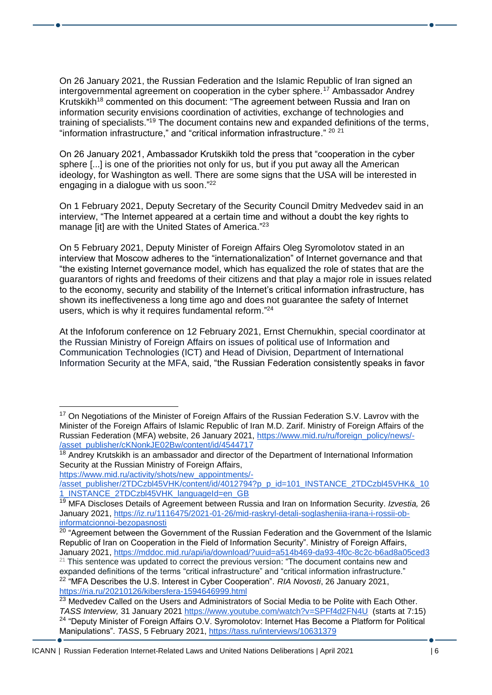On 26 January 2021, the Russian Federation and the Islamic Republic of Iran signed an intergovernmental agreement on cooperation in the cyber sphere.<sup>17</sup> Ambassador Andrey Krutskikh<sup>18</sup> commented on this document: "The agreement between Russia and Iran on information security envisions coordination of activities, exchange of technologies and training of specialists."<sup>19</sup> The document contains new and expanded definitions of the terms, "information infrastructure," and "critical information infrastructure." 20 21

On 26 January 2021, Ambassador Krutskikh told the press that "cooperation in the cyber sphere [...] is one of the priorities not only for us, but if you put away all the American ideology, for Washington as well. There are some signs that the USA will be interested in engaging in a dialogue with us soon."<sup>22</sup>

On 1 February 2021, Deputy Secretary of the Security Council Dmitry Medvedev said in an interview, "The Internet appeared at a certain time and without a doubt the key rights to manage [it] are with the United States of America."<sup>23</sup>

On 5 February 2021, Deputy Minister of Foreign Affairs Oleg Syromolotov stated in an interview that Moscow adheres to the "internationalization" of Internet governance and that "the existing Internet governance model, which has equalized the role of states that are the guarantors of rights and freedoms of their citizens and that play a major role in issues related to the economy, security and stability of the Internet's critical information infrastructure, has shown its ineffectiveness a long time ago and does not guarantee the safety of Internet users, which is why it requires fundamental reform."<sup>24</sup>

At the Infoforum conference on 12 February 2021, Ernst Chernukhin, special coordinator at the Russian Ministry of Foreign Affairs on issues of political use of Information and Communication Technologies (ICT) and Head of Division, Department of International Information Security at the MFA, said, "the Russian Federation consistently speaks in favor

[https://www.mid.ru/activity/shots/new\\_appointments/-](https://www.mid.ru/activity/shots/new_appointments/-/asset_publisher/2TDCzbl45VHK/content/id/4012794?p_p_id=101_INSTANCE_2TDCzbl45VHK&_101_INSTANCE_2TDCzbl45VHK_languageId=en_GB)

<sup>&</sup>lt;sup>17</sup> On Negotiations of the Minister of Foreign Affairs of the Russian Federation S.V. Lavrov with the Minister of the Foreign Affairs of Islamic Republic of Iran M.D. Zarif. Ministry of Foreign Affairs of the Russian Federation (MFA) website, 26 January 2021, [https://www.mid.ru/ru/foreign\\_policy/news/-](https://www.mid.ru/ru/foreign_policy/news/-/asset_publisher/cKNonkJE02Bw/content/id/4544717) [/asset\\_publisher/cKNonkJE02Bw/content/id/4544717](https://www.mid.ru/ru/foreign_policy/news/-/asset_publisher/cKNonkJE02Bw/content/id/4544717)

<sup>&</sup>lt;sup>18</sup> Andrey Krutskikh is an ambassador and director of the Department of International Information Security at the Russian Ministry of Foreign Affairs,

[<sup>/</sup>asset\\_publisher/2TDCzbl45VHK/content/id/4012794?p\\_p\\_id=101\\_INSTANCE\\_2TDCzbl45VHK&\\_10](https://www.mid.ru/activity/shots/new_appointments/-/asset_publisher/2TDCzbl45VHK/content/id/4012794?p_p_id=101_INSTANCE_2TDCzbl45VHK&_101_INSTANCE_2TDCzbl45VHK_languageId=en_GB) [1\\_INSTANCE\\_2TDCzbl45VHK\\_languageId=en\\_GB](https://www.mid.ru/activity/shots/new_appointments/-/asset_publisher/2TDCzbl45VHK/content/id/4012794?p_p_id=101_INSTANCE_2TDCzbl45VHK&_101_INSTANCE_2TDCzbl45VHK_languageId=en_GB)

<sup>19</sup> MFA Discloses Details of Agreement between Russia and Iran on Information Security. *Izvestia,* 26 January 2021, [https://iz.ru/1116475/2021-01-26/mid-raskryl-detali-soglasheniia-irana-i-rossii-ob](https://iz.ru/1116475/2021-01-26/mid-raskryl-detali-soglasheniia-irana-i-rossii-ob-informatcionnoi-bezopasnosti)[informatcionnoi-bezopasnosti](https://iz.ru/1116475/2021-01-26/mid-raskryl-detali-soglasheniia-irana-i-rossii-ob-informatcionnoi-bezopasnosti)

 $20$  "Agreement between the Government of the Russian Federation and the Government of the Islamic Republic of Iran on Cooperation in the Field of Information Security". Ministry of Foreign Affairs, January 2021, <https://mddoc.mid.ru/api/ia/download/?uuid=a514b469-da93-4f0c-8c2c-b6ad8a05ced3>

<sup>&</sup>lt;sup>21</sup> This sentence was updated to correct the previous version: "The document contains new and expanded definitions of the terms "critical infrastructure" and "critical information infrastructure." <sup>22</sup> "MFA Describes the U.S. Interest in Cyber Cooperation". *RIA Novosti*, 26 January 2021, <https://ria.ru/20210126/kibersfera-1594646999.html>

 $23$  Medvedev Called on the Users and Administrators of Social Media to be Polite with Each Other. *TASS Interview,* 31 January 2021 <https://www.youtube.com/watch?v=SPFf4d2FN4U>(starts at 7:15) <sup>24</sup> "Deputy Minister of Foreign Affairs O.V. Syromolotov: Internet Has Become a Platform for Political Manipulations". *TASS*, 5 February 2021,<https://tass.ru/interviews/10631379>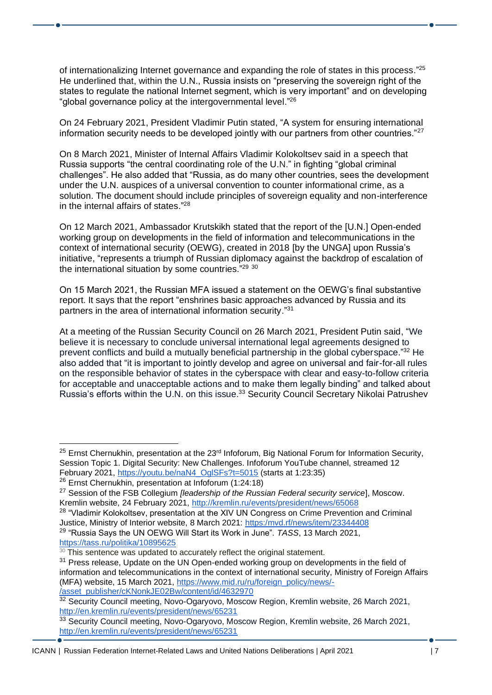of internationalizing Internet governance and expanding the role of states in this process."<sup>25</sup> He underlined that, within the U.N., Russia insists on "preserving the sovereign right of the states to regulate the national Internet segment, which is very important" and on developing "global governance policy at the intergovernmental level." 26

On 24 February 2021, President Vladimir Putin stated, "A system for ensuring international information security needs to be developed jointly with our partners from other countries."<sup>27</sup>

On 8 March 2021, Minister of Internal Affairs Vladimir Kolokoltsev said in a speech that Russia supports "the central coordinating role of the U.N." in fighting "global criminal challenges". He also added that "Russia, as do many other countries, sees the development under the U.N. auspices of a universal convention to counter informational crime, as a solution. The document should include principles of sovereign equality and non-interference in the internal affairs of states." 28

On 12 March 2021, Ambassador Krutskikh stated that the report of the [U.N.] Open-ended working group on developments in the field of information and telecommunications in the context of international security (OEWG), created in 2018 [by the UNGA] upon Russia's initiative, "represents a triumph of Russian diplomacy against the backdrop of escalation of the international situation by some countries."<sup>29 30</sup>

On 15 March 2021, the Russian MFA issued a statement on the OEWG's final substantive report. It says that the report "enshrines basic approaches advanced by Russia and its partners in the area of international information security."<sup>31</sup>

At a meeting of the Russian Security Council on 26 March 2021, President Putin said, "We believe it is necessary to conclude universal international legal agreements designed to prevent conflicts and build a mutually beneficial partnership in the global cyberspace."<sup>32</sup> He also added that "it is important to jointly develop and agree on universal and fair-for-all rules on the responsible behavior of states in the cyberspace with clear and easy-to-follow criteria for acceptable and unacceptable actions and to make them legally binding" and talked about Russia's efforts within the U.N. on this issue.<sup>33</sup> Security Council Secretary Nikolai Patrushev

<https://tass.ru/politika/10895625>

 $25$  Ernst Chernukhin, presentation at the 23<sup>rd</sup> Infoforum, Big National Forum for Information Security, Session Topic 1. Digital Security: New Challenges. Infoforum YouTube channel, streamed 12 February 2021, [https://youtu.be/naN4\\_OglSFs?t=5015](https://youtu.be/naN4_OglSFs?t=5015) (starts at 1:23:35)

<sup>26</sup> Ernst Chernukhin, presentation at Infoforum (1:24:18)

<sup>27</sup> Session of the FSB Collegium *[leadership of the Russian Federal security service*], Moscow. Kremlin website, 24 February 2021,<http://kremlin.ru/events/president/news/65068>

<sup>&</sup>lt;sup>28</sup> "Vladimir Kolokoltsev, presentation at the XIV UN Congress on Crime Prevention and Criminal Justice, Ministry of Interior website, 8 March 2021: [https:/mvd.rf/news/item/23344408](https://мвд.рф/news/item/23344408) <sup>29</sup> "Russia Says the UN OEWG Will Start its Work in June". *TASS*, 13 March 2021,

 $30$  This sentence was updated to accurately reflect the original statement.

<sup>&</sup>lt;sup>31</sup> Press release, Update on the UN Open-ended working group on developments in the field of information and telecommunications in the context of international security, Ministry of Foreign Affairs (MFA) website, 15 March 2021, [https://www.mid.ru/ru/foreign\\_policy/news/-](https://www.mid.ru/ru/foreign_policy/news/-/asset_publisher/cKNonkJE02Bw/content/id/4632970) [/asset\\_publisher/cKNonkJE02Bw/content/id/4632970](https://www.mid.ru/ru/foreign_policy/news/-/asset_publisher/cKNonkJE02Bw/content/id/4632970)

<sup>&</sup>lt;sup>32</sup> Security Council meeting, Novo-Ogaryovo, Moscow Region, Kremlin website, 26 March 2021, <http://en.kremlin.ru/events/president/news/65231>

<sup>33</sup> Security Council meeting, Novo-Ogaryovo, Moscow Region, Kremlin website, 26 March 2021, <http://en.kremlin.ru/events/president/news/65231>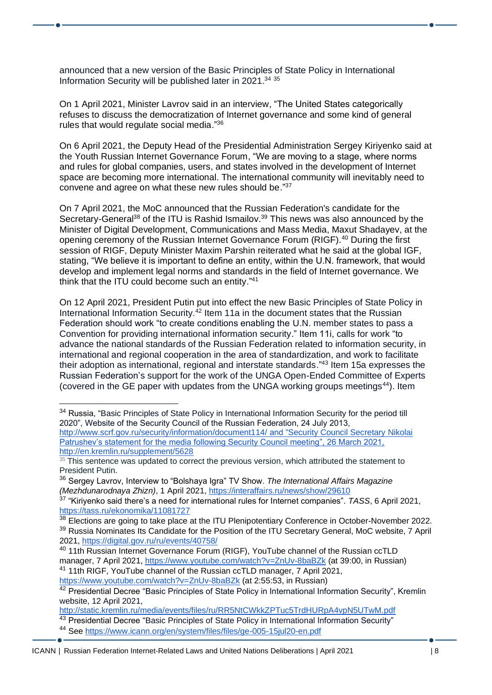announced that a new version of the Basic Principles of State Policy in International Information Security will be published later in 2021. 34 35

On 1 April 2021, Minister Lavrov said in an interview, "The United States categorically refuses to discuss the democratization of Internet governance and some kind of general rules that would regulate social media."36

On 6 April 2021, the Deputy Head of the Presidential Administration Sergey Kiriyenko said at the Youth Russian Internet Governance Forum, "We are moving to a stage, where norms and rules for global companies, users, and states involved in the development of Internet space are becoming more international. The international community will inevitably need to convene and agree on what these new rules should be." 37

On 7 April 2021, the MoC announced that the Russian Federation's candidate for the Secretary-General<sup>38</sup> of the ITU is Rashid Ismailov.<sup>39</sup> This news was also announced by the Minister of Digital Development, Communications and Mass Media, Maxut Shadayev, at the opening ceremony of the Russian Internet Governance Forum (RIGF).<sup>40</sup> During the first session of RIGF, Deputy Minister Maxim Parshin reiterated what he said at the global IGF, stating, "We believe it is important to define an entity, within the U.N. framework, that would develop and implement legal norms and standards in the field of Internet governance. We think that the ITU could become such an entity."<sup>41</sup>

On 12 April 2021, President Putin put into effect the new Basic Principles of State Policy in International Information Security.<sup>42</sup> Item 11a in the document states that the Russian Federation should work "to create conditions enabling the U.N. member states to pass a Convention for providing international information security." Item 11i, calls for work "to advance the national standards of the Russian Federation related to information security, in international and regional cooperation in the area of standardization, and work to facilitate their adoption as international, regional and interstate standards." <sup>43</sup> Item 15a expresses the Russian Federation's support for the work of the UNGA Open-Ended Committee of Experts (covered in the GE paper with updates from the UNGA working groups meetings $44$ ). Item

<https://www.youtube.com/watch?v=ZnUv-8baBZk> (at 2:55:53, in Russian)

<http://static.kremlin.ru/media/events/files/ru/RR5NtCWkkZPTuc5TrdHURpA4vpN5UTwM.pdf>

43 Presidential Decree "Basic Principles of State Policy in International Information Security"

<sup>&</sup>lt;sup>34</sup> Russia, "Basic Principles of State Policy in International Information Security for the period till 2020", Website of the Security Council of the Russian Federation, 24 July 2013, <http://www.scrf.gov.ru/security/information/document114/> and "Security Council Secretary Nikolai Patrushev's statement for the media following Security Council meeting", 26 March 2021, <http://en.kremlin.ru/supplement/5628>

 $35$  This sentence was updated to correct the previous version, which attributed the statement to President Putin.

<sup>36</sup> Sergey Lavrov, Interview to "Bolshaya Igra" TV Show. *The International Affairs Magazine (Mezhdunarodnaya Zhizn)*, 1 April 2021,<https://interaffairs.ru/news/show/29610>

<sup>37</sup> "Kiriyenko said there's a need for international rules for Internet companies". *TASS*, 6 April 2021, <https://tass.ru/ekonomika/11081727>

<sup>38</sup> Elections are going to take place at the ITU Plenipotentiary Conference in October-November 2022. <sup>39</sup> Russia Nominates Its Candidate for the Position of the ITU Secretary General, MoC website, 7 April 2021,<https://digital.gov.ru/ru/events/40758/>

<sup>40</sup> 11th Russian Internet Governance Forum (RIGF), YouTube channel of the Russian ccTLD manager, 7 April 2021,<https://www.youtube.com/watch?v=ZnUv-8baBZk> (at 39:00, in Russian) <sup>41</sup> 11th RIGF, YouTube channel of the Russian ccTLD manager, 7 April 2021,

<sup>42</sup> Presidential Decree "Basic Principles of State Policy in International Information Security", Kremlin website, 12 April 2021,

<sup>44</sup> See<https://www.icann.org/en/system/files/files/ge-005-15jul20-en.pdf>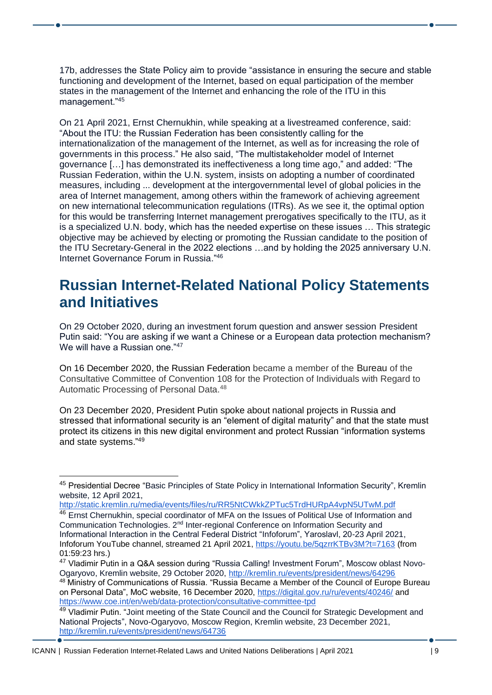17b, addresses the State Policy aim to provide "assistance in ensuring the secure and stable functioning and development of the Internet, based on equal participation of the member states in the management of the Internet and enhancing the role of the ITU in this management."<sup>45</sup>

On 21 April 2021, Ernst Chernukhin, while speaking at a livestreamed conference, said: "About the ITU: the Russian Federation has been consistently calling for the internationalization of the management of the Internet, as well as for increasing the role of governments in this process." He also said, "The multistakeholder model of Internet governance […] has demonstrated its ineffectiveness a long time ago," and added: "The Russian Federation, within the U.N. system, insists on adopting a number of coordinated measures, including ... development at the intergovernmental level of global policies in the area of Internet management, among others within the framework of achieving agreement on new international telecommunication regulations (ITRs). As we see it, the optimal option for this would be transferring Internet management prerogatives specifically to the ITU, as it is a specialized U.N. body, which has the needed expertise on these issues … This strategic objective may be achieved by electing or promoting the Russian candidate to the position of the ITU Secretary-General in the 2022 elections …and by holding the 2025 anniversary U.N. Internet Governance Forum in Russia." 46

#### <span id="page-8-0"></span>**Russian Internet-Related National Policy Statements and Initiatives**

On 29 October 2020, during an investment forum question and answer session President Putin said: "You are asking if we want a Chinese or a European data protection mechanism? We will have a Russian one."47

On 16 December 2020, the Russian Federation became a member of the Bureau of the Consultative Committee of Convention 108 for the Protection of Individuals with Regard to Automatic Processing of Personal Data.<sup>48</sup>

On 23 December 2020, President Putin spoke about national projects in Russia and stressed that informational security is an "element of digital maturity" and that the state must protect its citizens in this new digital environment and protect Russian "information systems and state systems." 49

<sup>45</sup> Presidential Decree "Basic Principles of State Policy in International Information Security", Kremlin website, 12 April 2021,

<http://static.kremlin.ru/media/events/files/ru/RR5NtCWkkZPTuc5TrdHURpA4vpN5UTwM.pdf>

<sup>46</sup> Ernst Chernukhin, special coordinator of MFA on the Issues of Political Use of Information and Communication Technologies. 2<sup>nd</sup> Inter-regional Conference on Information Security and Informational Interaction in the Central Federal District "Infoforum", Yaroslavl, 20-23 April 2021, Infoforum YouTube channel, streamed 21 April 2021,<https://youtu.be/5qzrrKTBv3M?t=7163> (from 01:59:23 hrs.)

<sup>47</sup> Vladimir Putin in a Q&A session during "Russia Calling! Investment Forum", Moscow oblast Novo-Ogaryovo, Kremlin website, 29 October 2020,<http://kremlin.ru/events/president/news/64296> <sup>48</sup> Ministry of Communications of Russia. "Russia Became a Member of the Council of Europe Bureau

on Personal Data", MoC website, 16 December 2020, <https://digital.gov.ru/ru/events/40246/> and <https://www.coe.int/en/web/data-protection/consultative-committee-tpd>

<sup>49</sup> Vladimir Putin. "Joint meeting of the State Council and the Council for Strategic Development and National Projects", Novo-Ogaryovo, Moscow Region, Kremlin website, 23 December 2021, <http://kremlin.ru/events/president/news/64736>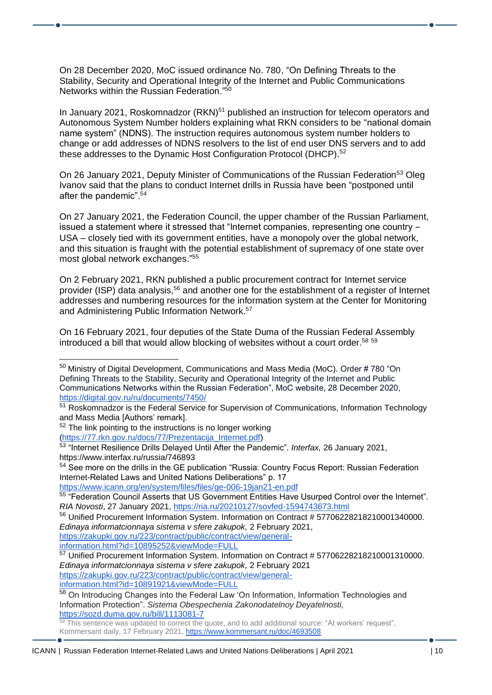On 28 December 2020, MoC issued ordinance No. 780, "On Defining Threats to the Stability, Security and Operational Integrity of the Internet and Public Communications Networks within the Russian Federation." 50

In January 2021, Roskomnadzor (RKN)<sup>51</sup> published an instruction for telecom operators and Autonomous System Number holders explaining what RKN considers to be "national domain name system" (NDNS). The instruction requires autonomous system number holders to change or add addresses of NDNS resolvers to the list of end user DNS servers and to add these addresses to the Dynamic Host Configuration Protocol (DHCP).<sup>52</sup>

On 26 January 2021, Deputy Minister of Communications of the Russian Federation<sup>53</sup> Oleg Ivanov said that the plans to conduct Internet drills in Russia have been "postponed until after the pandemic".<sup>54</sup>

On 27 January 2021, the Federation Council, the upper chamber of the Russian Parliament, issued a statement where it stressed that "Internet companies, representing one country – USA – closely tied with its government entities, have a monopoly over the global network, and this situation is fraught with the potential establishment of supremacy of one state over most global network exchanges." 55

On 2 February 2021, RKN published a public procurement contract for Internet service provider (ISP) data analysis,<sup>56</sup> and another one for the establishment of a register of Internet addresses and numbering resources for the information system at the Center for Monitoring and Administering Public Information Network.<sup>57</sup>

On 16 February 2021, four deputies of the State Duma of the Russian Federal Assembly introduced a bill that would allow blocking of websites without a court order.<sup>58</sup> 59

<https://www.icann.org/en/system/files/files/ge-006-19jan21-en.pdf>

[https://zakupki.gov.ru/223/contract/public/contract/view/general](https://zakupki.gov.ru/223/contract/public/contract/view/general-information.html?id=10895252&viewMode=FULL)[information.html?id=10895252&viewMode=FULL](https://zakupki.gov.ru/223/contract/public/contract/view/general-information.html?id=10895252&viewMode=FULL)

<sup>57</sup> Unified Procurement Information System. Information on Contract # 57706228218210001310000. *Edinaya informatcionnaya sistema v sfere zakupok,* 2 February 2021 [https://zakupki.gov.ru/223/contract/public/contract/view/general-](https://zakupki.gov.ru/223/contract/public/contract/view/general-information.html?id=10891921&viewMode=FULL)

[information.html?id=10891921&viewMode=FULL](https://zakupki.gov.ru/223/contract/public/contract/view/general-information.html?id=10891921&viewMode=FULL)

<sup>&</sup>lt;sup>50</sup> Ministry of Digital Development, Communications and Mass Media (MoC). Order # 780 "On Defining Threats to the Stability, Security and Operational Integrity of the Internet and Public Communications Networks within the Russian Federation", MoC website, 28 December 2020, <https://digital.gov.ru/ru/documents/7450/>

<sup>&</sup>lt;sup>51</sup> Roskomnadzor is the Federal Service for Supervision of Communications, Information Technology and Mass Media [Authors' remark].

<sup>&</sup>lt;sup>52</sup> The link pointing to the instructions is no longer working [\(https://77.rkn.gov.ru/docs/77/Prezentacija\\_Internet.pdf\)](https://77.rkn.gov.ru/docs/77/Prezentacija_Internet.pdf)

<sup>53</sup> "Internet Resilience Drills Delayed Until After the Pandemic". *Interfax,* 26 January 2021, <https://www.interfax.ru/russia/746893>

<sup>&</sup>lt;sup>54</sup> See more on the drills in the GE publication "Russia: Country Focus Report: Russian Federation Internet-Related Laws and United Nations Deliberations" p. 17

<sup>55</sup> "Federation Council Asserts that US Government Entities Have Usurped Control over the Internet". *RIA Novosti*, 27 January 2021,<https://ria.ru/20210127/sovfed-1594743673.html>

<sup>56</sup> Unified Procurement Information System. Information on Contract # 57706228218210001340000. *Edinaya informatcionnaya sistema v sfere zakupok,* 2 February 2021,

<sup>58</sup> On Introducing Changes into the Federal Law 'On Information, Information Technologies and Information Protection". *Sistema Obespechenia Zakonodatelnoy Deyatelnosti,* <https://sozd.duma.gov.ru/bill/1113081-7>

 $59$  This sentence was updated to correct the quote, and to add additional source: "At workers' request", Kommersant daily, 17 February 2021, <https://www.kommersant.ru/doc/4693508>